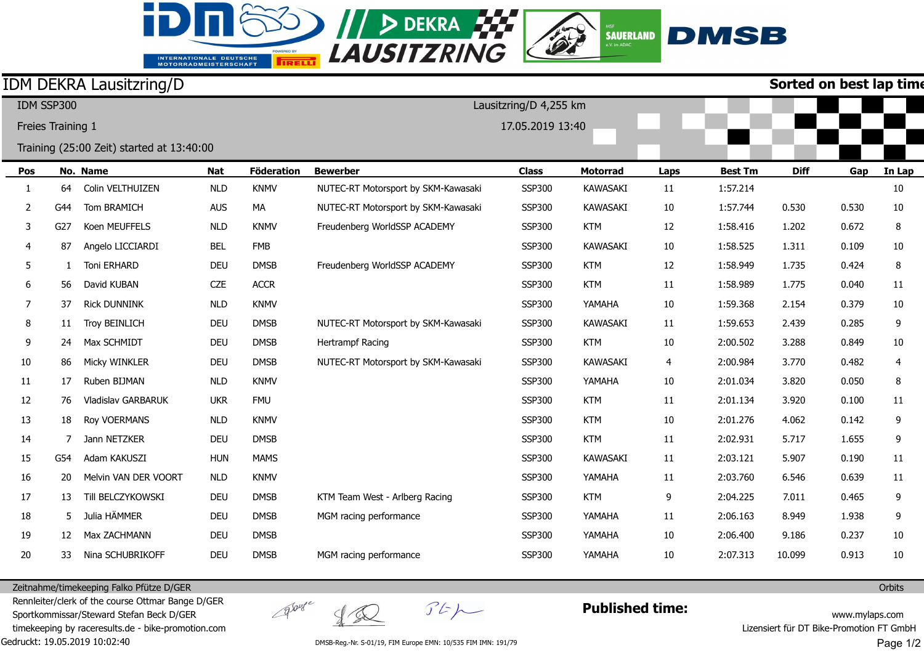## **EXAMPLE DEKRA FILE** INTERNATIONALE DEUTSCHE<br>MOTORRADMEISTERSCHAFT

**TRELL** 

id.

## **DMSB**  $\left|\n \begin{array}{c}\n \text{SAUERLAND}\n \text{SAWERLAND}\n \end{array}\n \right|$

|                   |     | <b>IDM DEKRA Lausitzring/D</b>            |            |                   | Sorted on best lap time             |                  |                 |        |                |             |       |        |  |
|-------------------|-----|-------------------------------------------|------------|-------------------|-------------------------------------|------------------|-----------------|--------|----------------|-------------|-------|--------|--|
| IDM SSP300        |     |                                           |            |                   | Lausitzring/D 4,255 km              |                  |                 |        |                |             |       |        |  |
| Freies Training 1 |     |                                           |            |                   |                                     | 17.05.2019 13:40 |                 |        |                |             |       |        |  |
|                   |     | Training (25:00 Zeit) started at 13:40:00 |            |                   |                                     |                  |                 |        |                |             |       |        |  |
| Pos               |     | No. Name                                  | <b>Nat</b> | <b>Föderation</b> | <b>Bewerber</b>                     | <b>Class</b>     | <b>Motorrad</b> | Laps   | <b>Best Tm</b> | <b>Diff</b> | Gap   | In Lap |  |
| 1                 | 64  | Colin VELTHUIZEN                          | <b>NLD</b> | <b>KNMV</b>       | NUTEC-RT Motorsport by SKM-Kawasaki | <b>SSP300</b>    | <b>KAWASAKI</b> | 11     | 1:57.214       |             |       | 10     |  |
| 2                 | G44 | Tom BRAMICH                               | <b>AUS</b> | MA                | NUTEC-RT Motorsport by SKM-Kawasaki | <b>SSP300</b>    | <b>KAWASAKI</b> | 10     | 1:57.744       | 0.530       | 0.530 | 10     |  |
| 3                 | G27 | Koen MEUFFELS                             | <b>NLD</b> | <b>KNMV</b>       | Freudenberg WorldSSP ACADEMY        | <b>SSP300</b>    | <b>KTM</b>      | 12     | 1:58.416       | 1.202       | 0.672 | 8      |  |
| 4                 | 87  | Angelo LICCIARDI                          | <b>BEL</b> | <b>FMB</b>        |                                     | <b>SSP300</b>    | <b>KAWASAKI</b> | 10     | 1:58.525       | 1.311       | 0.109 | 10     |  |
| 5                 |     | Toni ERHARD                               | <b>DEU</b> | <b>DMSB</b>       | Freudenberg WorldSSP ACADEMY        | <b>SSP300</b>    | <b>KTM</b>      | 12     | 1:58.949       | 1.735       | 0.424 | 8      |  |
| 6                 | 56  | David KUBAN                               | CZE        | <b>ACCR</b>       |                                     | <b>SSP300</b>    | <b>KTM</b>      | $11\,$ | 1:58.989       | 1.775       | 0.040 | 11     |  |
| 7                 | 37  | <b>Rick DUNNINK</b>                       | <b>NLD</b> | <b>KNMV</b>       |                                     | <b>SSP300</b>    | YAMAHA          | 10     | 1:59.368       | 2.154       | 0.379 | 10     |  |
| 8                 | 11  | Troy BEINLICH                             | <b>DEU</b> | <b>DMSB</b>       | NUTEC-RT Motorsport by SKM-Kawasaki | <b>SSP300</b>    | <b>KAWASAKI</b> | 11     | 1:59.653       | 2.439       | 0.285 | 9      |  |
| 9                 | 24  | Max SCHMIDT                               | DEU        | <b>DMSB</b>       | Hertrampf Racing                    | <b>SSP300</b>    | <b>KTM</b>      | 10     | 2:00.502       | 3.288       | 0.849 | 10     |  |
| $10\,$            | 86  | Micky WINKLER                             | <b>DEU</b> | <b>DMSB</b>       | NUTEC-RT Motorsport by SKM-Kawasaki | <b>SSP300</b>    | <b>KAWASAKI</b> | 4      | 2:00.984       | 3.770       | 0.482 | 4      |  |
| 11                | 17  | Ruben BIJMAN                              | <b>NLD</b> | <b>KNMV</b>       |                                     | <b>SSP300</b>    | YAMAHA          | 10     | 2:01.034       | 3.820       | 0.050 | 8      |  |
| 12                | 76  | Vladislav GARBARUK                        | <b>UKR</b> | <b>FMU</b>        |                                     | SSP300           | <b>KTM</b>      | 11     | 2:01.134       | 3.920       | 0.100 | 11     |  |
| 13                | 18  | Roy VOERMANS                              | <b>NLD</b> | <b>KNMV</b>       |                                     | <b>SSP300</b>    | <b>KTM</b>      | $10\,$ | 2:01.276       | 4.062       | 0.142 | 9      |  |
| 14                |     | Jann NETZKER                              | <b>DEU</b> | <b>DMSB</b>       |                                     | <b>SSP300</b>    | <b>KTM</b>      | 11     | 2:02.931       | 5.717       | 1.655 | 9      |  |
| 15                | G54 | Adam KAKUSZI                              | <b>HUN</b> | <b>MAMS</b>       |                                     | <b>SSP300</b>    | <b>KAWASAKI</b> | 11     | 2:03.121       | 5.907       | 0.190 | 11     |  |
| 16                | 20  | Melvin VAN DER VOORT                      | <b>NLD</b> | <b>KNMV</b>       |                                     | <b>SSP300</b>    | YAMAHA          | 11     | 2:03.760       | 6.546       | 0.639 | 11     |  |
| 17                | 13  | Till BELCZYKOWSKI                         | <b>DEU</b> | <b>DMSB</b>       | KTM Team West - Arlberg Racing      | <b>SSP300</b>    | <b>KTM</b>      | 9      | 2:04.225       | 7.011       | 0.465 | 9      |  |
| 18                | 5   | Julia HÄMMER                              | <b>DEU</b> | <b>DMSB</b>       | MGM racing performance              | <b>SSP300</b>    | YAMAHA          | 11     | 2:06.163       | 8.949       | 1.938 | 9      |  |
| 19                | 12  | Max ZACHMANN                              | DEU        | <b>DMSB</b>       |                                     | <b>SSP300</b>    | YAMAHA          | 10     | 2:06.400       | 9.186       | 0.237 | 10     |  |
| 20                | 33  | Nina SCHUBRIKOFF                          | <b>DEU</b> | <b>DMSB</b>       | MGM racing performance              | <b>SSP300</b>    | YAMAHA          | 10     | 2:07.313       | 10.099      | 0.913 | 10     |  |

Zeitnahme/timekeeping Falko Pfütze D/GER

Gedruckt: 19.05.2019 10:02:40 Rennleiter/clerk of the course Ottmar Bange D/GER Sportkommissar/Steward Stefan Beck D/GER timekeeping by raceresults.de - bike-promotion.com

 $\begin{matrix} 2 & 2 & 3 \end{matrix}$ 

groupe

 $\mathcal{F}E\mathcal{P}$ 

**Published time:**

www.mylaps.com Lizensiert für DT Bike-Promotion FT GmbH

DMSB-Reg.-Nr. S-01/19, FIM Europe EMN: 10/535 FIM IMN: 191/79

**Orbits** 

Page 1/2